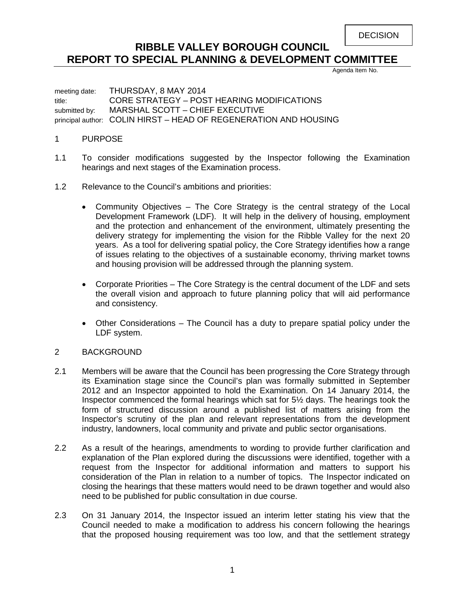DECISION

# **RIBBLE VALLEY BOROUGH COUNCIL REPORT TO SPECIAL PLANNING & DEVELOPMENT COMMITTEE**

Agenda Item No.

meeting date: THURSDAY, 8 MAY 2014 title: CORE STRATEGY – POST HEARING MODIFICATIONS submitted by: MARSHAL SCOTT - CHIEF EXECUTIVE principal author: COLIN HIRST – HEAD OF REGENERATION AND HOUSING

#### 1 PURPOSE

- 1.1 To consider modifications suggested by the Inspector following the Examination hearings and next stages of the Examination process.
- 1.2 Relevance to the Council's ambitions and priorities:
	- Community Objectives The Core Strategy is the central strategy of the Local Development Framework (LDF). It will help in the delivery of housing, employment and the protection and enhancement of the environment, ultimately presenting the delivery strategy for implementing the vision for the Ribble Valley for the next 20 years. As a tool for delivering spatial policy, the Core Strategy identifies how a range of issues relating to the objectives of a sustainable economy, thriving market towns and housing provision will be addressed through the planning system.
	- Corporate Priorities The Core Strategy is the central document of the LDF and sets the overall vision and approach to future planning policy that will aid performance and consistency.
	- Other Considerations The Council has a duty to prepare spatial policy under the LDF system.

## 2 BACKGROUND

- 2.1 Members will be aware that the Council has been progressing the Core Strategy through its Examination stage since the Council's plan was formally submitted in September 2012 and an Inspector appointed to hold the Examination. On 14 January 2014, the Inspector commenced the formal hearings which sat for 5½ days. The hearings took the form of structured discussion around a published list of matters arising from the Inspector's scrutiny of the plan and relevant representations from the development industry, landowners, local community and private and public sector organisations.
- 2.2 As a result of the hearings, amendments to wording to provide further clarification and explanation of the Plan explored during the discussions were identified, together with a request from the Inspector for additional information and matters to support his consideration of the Plan in relation to a number of topics. The Inspector indicated on closing the hearings that these matters would need to be drawn together and would also need to be published for public consultation in due course.
- 2.3 On 31 January 2014, the Inspector issued an interim letter stating his view that the Council needed to make a modification to address his concern following the hearings that the proposed housing requirement was too low, and that the settlement strategy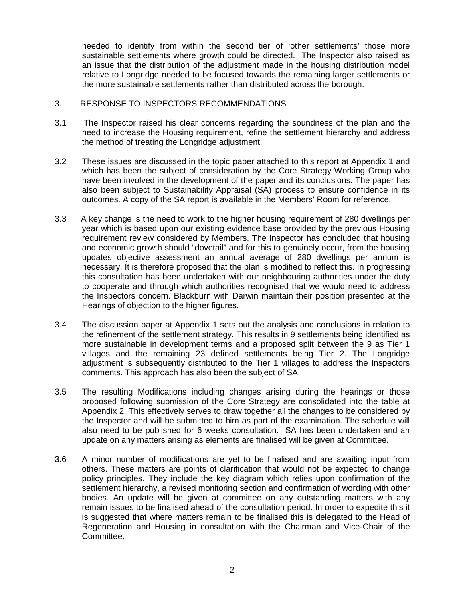needed to identify from within the second tier of 'other settlements' those more sustainable settlements where growth could be directed. The Inspector also raised as an issue that the distribution of the adjustment made in the housing distribution model relative to Longridge needed to be focused towards the remaining larger settlements or the more sustainable settlements rather than distributed across the borough.

#### 3. RESPONSE TO INSPECTORS RECOMMENDATIONS

- 3.1 The Inspector raised his clear concerns regarding the soundness of the plan and the need to increase the Housing requirement, refine the settlement hierarchy and address the method of treating the Longridge adjustment.
- 3.2 These issues are discussed in the topic paper attached to this report at Appendix 1 and which has been the subject of consideration by the Core Strategy Working Group who have been involved in the development of the paper and its conclusions. The paper has also been subject to Sustainability Appraisal (SA) process to ensure confidence in its outcomes. A copy of the SA report is available in the Members' Room for reference.
- 3.3 A key change is the need to work to the higher housing requirement of 280 dwellings per year which is based upon our existing evidence base provided by the previous Housing requirement review considered by Members. The Inspector has concluded that housing and economic growth should "dovetail" and for this to genuinely occur, from the housing updates objective assessment an annual average of 280 dwellings per annum is necessary. It is therefore proposed that the plan is modified to reflect this. In progressing this consultation has been undertaken with our neighbouring authorities under the duty to cooperate and through which authorities recognised that we would need to address the Inspectors concern. Blackburn with Darwin maintain their position presented at the Hearings of objection to the higher figures.
- 3.4 The discussion paper at Appendix 1 sets out the analysis and conclusions in relation to the refinement of the settlement strategy. This results in 9 settlements being identified as more sustainable in development terms and a proposed split between the 9 as Tier 1 villages and the remaining 23 defined settlements being Tier 2. The Longridge adjustment is subsequently distributed to the Tier 1 villages to address the Inspectors comments. This approach has also been the subject of SA.
- 3.5 The resulting Modifications including changes arising during the hearings or those proposed following submission of the Core Strategy are consolidated into the table at Appendix 2. This effectively serves to draw together all the changes to be considered by the Inspector and will be submitted to him as part of the examination. The schedule will also need to be published for 6 weeks consultation. SA has been undertaken and an update on any matters arising as elements are finalised will be given at Committee.
- 3.6 A minor number of modifications are yet to be finalised and are awaiting input from others. These matters are points of clarification that would not be expected to change policy principles. They include the key diagram which relies upon confirmation of the settlement hierarchy, a revised monitoring section and confirmation of wording with other bodies. An update will be given at committee on any outstanding matters with any remain issues to be finalised ahead of the consultation period. In order to expedite this it is suggested that where matters remain to be finalised this is delegated to the Head of Regeneration and Housing in consultation with the Chairman and Vice-Chair of the Committee.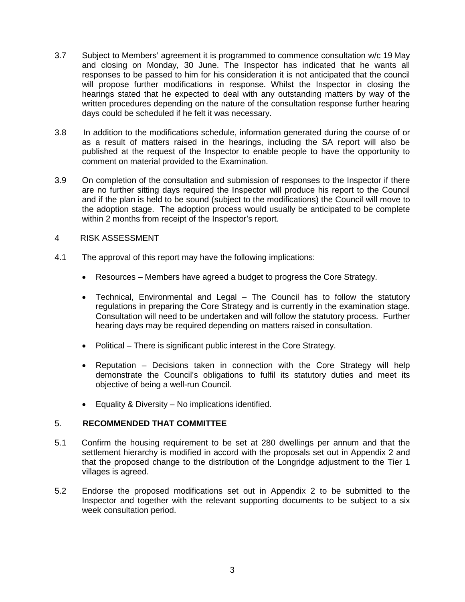- 3.7 Subject to Members' agreement it is programmed to commence consultation w/c 19 May and closing on Monday, 30 June. The Inspector has indicated that he wants all responses to be passed to him for his consideration it is not anticipated that the council will propose further modifications in response. Whilst the Inspector in closing the hearings stated that he expected to deal with any outstanding matters by way of the written procedures depending on the nature of the consultation response further hearing days could be scheduled if he felt it was necessary.
- 3.8 In addition to the modifications schedule, information generated during the course of or as a result of matters raised in the hearings, including the SA report will also be published at the request of the Inspector to enable people to have the opportunity to comment on material provided to the Examination.
- 3.9 On completion of the consultation and submission of responses to the Inspector if there are no further sitting days required the Inspector will produce his report to the Council and if the plan is held to be sound (subject to the modifications) the Council will move to the adoption stage. The adoption process would usually be anticipated to be complete within 2 months from receipt of the Inspector's report.
- 4 RISK ASSESSMENT
- 4.1 The approval of this report may have the following implications:
	- Resources Members have agreed a budget to progress the Core Strategy.
	- Technical, Environmental and Legal The Council has to follow the statutory regulations in preparing the Core Strategy and is currently in the examination stage. Consultation will need to be undertaken and will follow the statutory process. Further hearing days may be required depending on matters raised in consultation.
	- Political There is significant public interest in the Core Strategy.
	- Reputation Decisions taken in connection with the Core Strategy will help demonstrate the Council's obligations to fulfil its statutory duties and meet its objective of being a well-run Council.
	- Equality & Diversity No implications identified.

## 5. **RECOMMENDED THAT COMMITTEE**

- 5.1 Confirm the housing requirement to be set at 280 dwellings per annum and that the settlement hierarchy is modified in accord with the proposals set out in Appendix 2 and that the proposed change to the distribution of the Longridge adjustment to the Tier 1 villages is agreed.
- 5.2 Endorse the proposed modifications set out in Appendix 2 to be submitted to the Inspector and together with the relevant supporting documents to be subject to a six week consultation period.